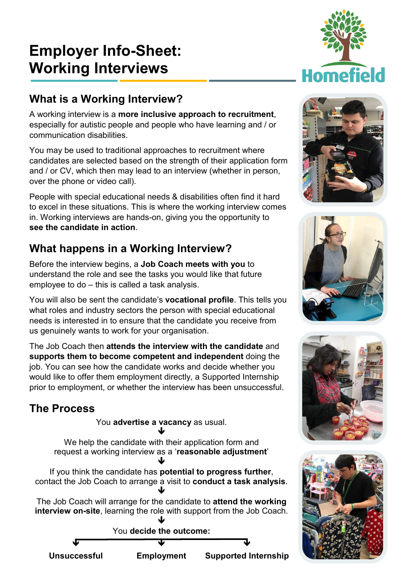# **Employer Info-Sheet: Working Interviews**

### **What is a Working Interview?**

A working interview is a **more inclusive approach to recruitment**, especially for autistic people and people who have learning and / or communication disabilities.

You may be used to traditional approaches to recruitment where candidates are selected based on the strength of their application form and / or CV, which then may lead to an interview (whether in person, over the phone or video call).

People with special educational needs & disabilities often find it hard to excel in these situations. This is where the working interview comes in. Working interviews are hands-on, giving you the opportunity to **see the candidate in action**.

## **What happens in a Working Interview?**

Before the interview begins, a **Job Coach meets with you** to understand the role and see the tasks you would like that future employee to do – this is called a task analysis.

You will also be sent the candidate's **vocational profile**. This tells you what roles and industry sectors the person with special educational needs is interested in to ensure that the candidate you receive from us genuinely wants to work for your organisation.

The Job Coach then **attends the interview with the candidate** and **supports them to become competent and independent** doing the job. You can see how the candidate works and decide whether you would like to offer them employment directly, a Supported Internship prior to employment, or whether the interview has been unsuccessful.

### **The Process**

You **advertise a vacancy** as usual.  $\blacklozenge$ 

We help the candidate with their application form and request a working interview as a '**reasonable adjustment**'  $\blacklozenge$ 

If you think the candidate has **potential to progress further**, contact the Job Coach to arrange a visit to **conduct a task analysis**.  $\blacklozenge$ 

The Job Coach will arrange for the candidate to **attend the working interview on-site**, learning the role with support from the Job Coach.